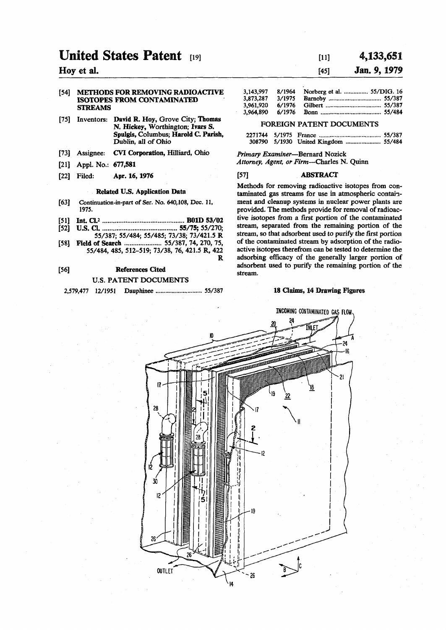# **United States Patent [19]**

## **Hoy et al.**

#### [54] METHODS FOR REMOVING RADIOACTIVE ISOTOPES FROM CONTAMINATED STREAMS

- [75] Inventors: David R. Hoy, Grove City; Thomas N. Hickey, Worthington; Ivars S. Spulgis, Columbus; Harold C. Parish, Dublin, all of Ohio
- [73] Assignee: CVI Corporation, Hilliard, Ohio
- [21] Appl. No.: 677,581
- [22] Filed: Apr. 16,1976

### Related U.S. Application Data

- [63] **Continuation-in-part of Ser. No.** 640,108, **Dec.** 11, 1975.
- [51] Int.Cl.2 B01D 53/02
- [52] U.S. a 55/75; 55/270; 55/387; 55/484; 55/485; 73/38; 73/421.5 R
- [58] Field of Search ...................... 55/387, 74, 270, 75, 55/484, 485, 512-519; 73/38, 76, 421.5 R, 422 R

## [56] References Cited U.S. PATENT DOCUMENTS

2,579,477 12/1951 Dauphinee ............................... 55/387

## $[11]$  4,133,651

## **[45] Jan. 9, 1979**

| 3,143,997 | 8/1964 | Norberg et al.  55/DIG. 16 |  |
|-----------|--------|----------------------------|--|
| 3,873,287 | 3/1975 |                            |  |
| 3,961,920 | 6/1976 |                            |  |
| 3,964,890 |        |                            |  |

#### FOREIGN PATENT DOCUMENTS

## *Primary Examiner*—Bernard Nozick *Attorney, Agent, or Firm*—Charles N. Quinn

## [57] ABSTRACT

Methods for removing radioactive isotopes from contaminated gas streams for use in atmospheric containment and cleanup systems in nuclear power plants are provided. The methods provide for removal of radioactive isotopes from a first portion of the contaminated stream, separated from the remaining portion of the stream, so that adsorbent used to purify the first portion of the contaminated stream by adsorption of the radioactive isotopes therefrom can be tested to determine the adsorbing efficacy of the generally larger portion of adsorbent used to purify the remaining portion of the stream.

#### 18 Claims, 14 Drawing Figures

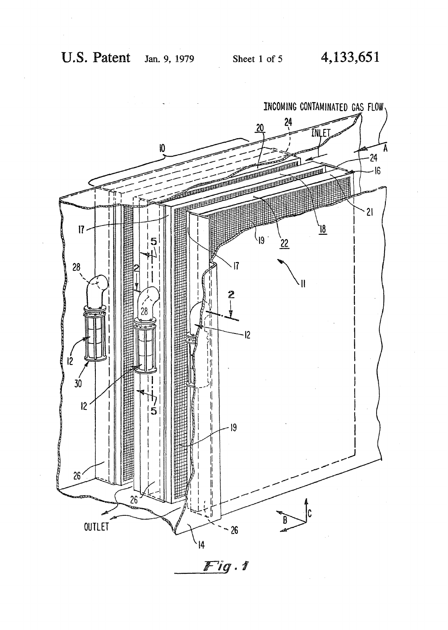

 $Fig.1$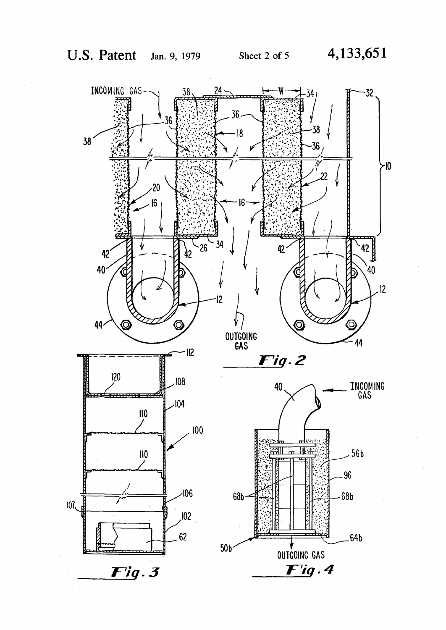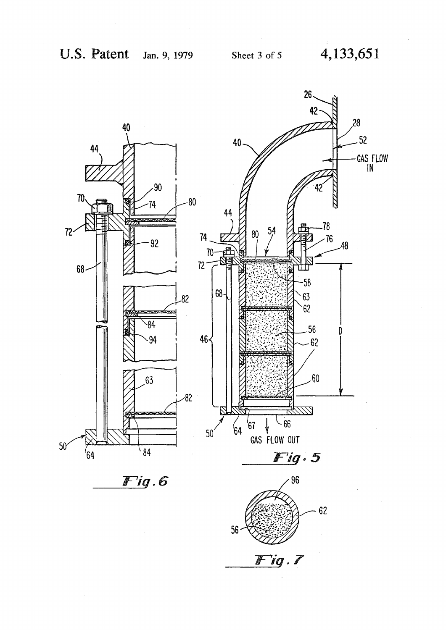

 $Fig. 6$ 

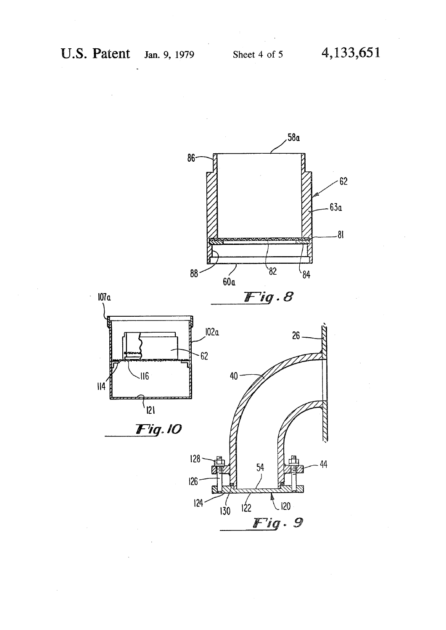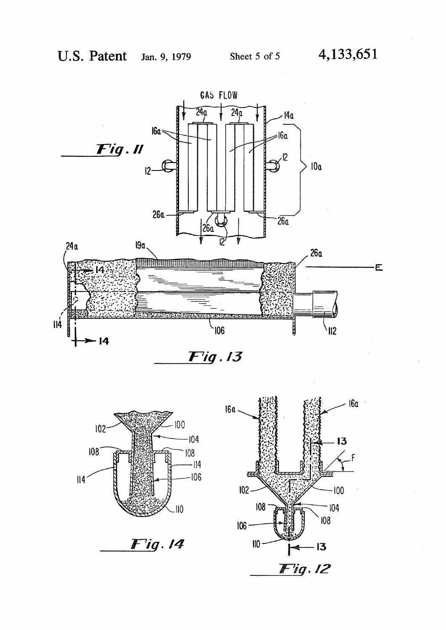



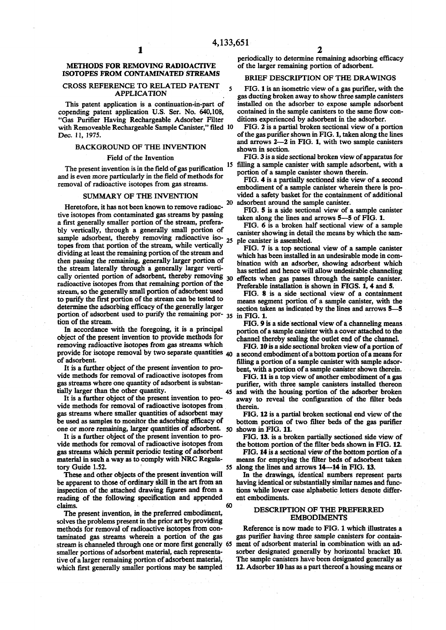## **METHODS FOR REMOVING RADIOACTIVE ISOTOPES FROM CONTAMINATED STREAMS**

1

## CROSS REFERENCE TO RELATED PATENT APPLICATION

This patent application is a continuation-in-part of copending patent application U.S. Ser. No. 640,108, "Gas Purifier Having Rechargeable Adsorber Filter with Removeable Rechargeable Sample Canister," filed 10 Dec. 11, 1975.

## BACKGROUND OF THE INVENTION

#### Field of the Invention

The present invention is in the field of gas purification and is even more particularly in the field of methods for removal of radioactive isotopes from gas streams.

## SUMMARY OF THE INVENTION

**20**  Heretofore, it has not been known to remove radioactive isotopes from contaminated gas streams by passing a first generally smaller portion of the stream, preferably vertically, through a generally small portion of sample adsorbent, thereby removing radioactive iso- 25 topes from that portion of the stream, while vertically dividing at least the remaining portion of the stream and then passing the remaining, generally larger portion of the stream laterally through a generally larger vertically oriented portion of adsorbent, thereby removing  $_{30}$ radioactive isotopes from that remaining portion of the stream, so the generally small portion of adsorbent used to purify the first portion of the stream can be tested to determine the adsorbing efficacy of the generally larger portion of adsorbent used to purify the remaining por- $35 \text{ in } FIG. 1$ . tion of the stream.

In accordance with the foregoing, it is a principal object of the present invention to provide methods for removing radioactive isotopes from gas streams which provide for isotope removal by two separate quantities 40 a second embodiment of a bottom portion of a means for of adsorbent.

It is a further object of the present invention to provide methods for removal of radioactive isotopes from gas streams where one quantity of adsorbent is substantially larger than the other quantity.

It is a further object of the present invention to provide methods for removal of radioactive isotopes from gas streams where smaller quantities of adsorbent may be used as samples to monitor the adsorbing efficacy of one or more remaining, larger quantities of adsorbent. 50

It is a further object of the present invention to provide methods for removal of radioactive isotopes from gas streams which permit periodic testing of adsorbent material in such a way as to comply with NRC Regulatory Guide 1.52.

These and other objects of the present invention will be apparent to those of ordinary skill in the art from an inspection of the attached drawing figures and from a reading of the following specification and appended claims. 60

The present invention, in the preferred embodiment, solves the problems present in the prior art by providing methods for removal of radioactive isotopes from contaminated gas streams wherein a portion of the gas stream is channeled through one or more first generally 65 smaller portions of adsorbent material, each representative of a larger remaining portion of adsorbent material, which first generally smaller portions may be sampled

periodically to determine remaining adsorbing efficacy of the larger remaining portion of adsorbent.

## BRIEF DESCRIPTION OF THE DRAWINGS

FIG. 1 is an isometric view of a gas purifier, with the gas ducting broken away to show three sample canisters installed on the adsorber to expose sample adsorbent contained in the sample canisters to the same flow conditions experienced by adsorbent in the adsorber.

FIG. 2 is a partial broken sectional view of a portion of the gas purifier shown in FIG. 1, taken along the lines and arrows 2—2 in FIG. 1, with two sample canisters shown in section.

 15 filling a sample canister with sample adsorbent, with a FIG. 3 is a side sectional broken view of apparatus for portion of a sample canister shown therein.

FIG. 4 is a partially sectioned side view of a second embodiment of a sample canister wherein there is provided a safety basket for the containment of additional adsorbent around the sample canister.

FIG. 5 is a side sectional view of a sample canister taken along the lines and arrows 5—5 of FIG. 1.

FIG. 6 is a broken half sectional view of a sample canister showing in detail the means by which the sample canister is assembled.

FIG. 7 is a top sectional view of a sample canister which has been installed in an undesirable mode in combination with an adsorber, showing adsorbent which has settled and hence will allow undesirable channeling effects when gas passes through the sample canister. Preferable installation is shown in FIGS. 1, 4 and 5.

FIG. 8 is a side sectional view of a containment means segment portion of a sample canister, with the section taken as indicated by the lines and arrows 5—5

FIG. 9 is a side sectional view of a channeling means portion of a sample canister with a cover attached to the channel thereby sealing the outlet end of the channel.

FIG. 10 is a side sectional broken view of a portion of filling a portion of a sample canister with sample adsorbent, with a portion of a sample canister shown therein.

FIG. 11 is a top view of another embodiment of a gas purifier, with three sample canisters installed thereon 45 and with the housing portion of the adsorber broken away to reveal the configuration of the filter beds therein.

FIG. 12 is a partial broken sectional end view of the bottom portion of two filter beds of the gas purifier shown in FIG. 11.

FIG. 13. is a broken partially sectioned side view of the bottom portion of the filter beds shown in FIG. 12.

FIG. 14 is a sectional view of the bottom portion of a means for emptying the filter beds of adsorbent taken 55 along the lines and arrows 14—14 in FIG. 13.

In the drawings, identical numbers represent parts having identical or substantially similar names and functions while lower case alphabetic letters denote different embodiments.

#### DESCRIPTION OF THE PREFERRED EMBODIMENTS

Reference is now made to FIG. 1 which illustrates a gas purifier having three sample canisters for containment of adsorbent material in combination with an adsorber designated generally by horizontal bracket 10. The sample canisters have been designated generally as 12. Adsorber 10 has as a part thereof a housing means or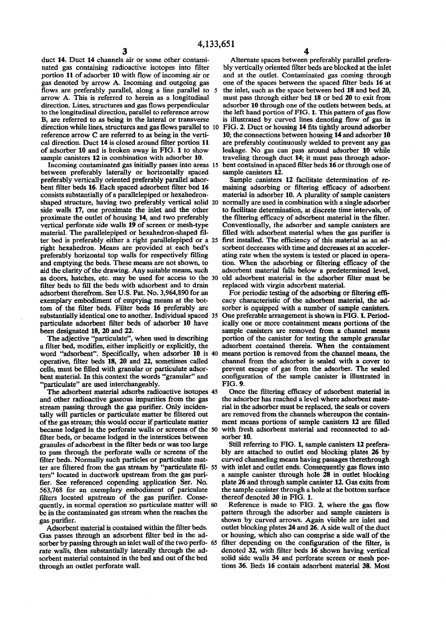duct 14. Duct 14 channels air or some other contami-<br>
Alternate spaces between preferably parallel prefera-<br>
hated gas containing radioactive isotopes into filter by vertically oriented filter beds are blocked at the inlet nated gas containing radioactive isotopes into filter bly vertically oriented filter beds are blocked at the inlet portion 11 of adsorber 10 with flow of incoming air or and at the outlet. Contaminated gas coming through portion 11 of adsorber 10 with flow of incoming air or and at the outlet. Contaminated gas coming through gas denoted by arrow A. Incoming and outgoing gas one of the spaces between the spaced filter beds 16 at flows are preferably parallel, along a line parallel to arrow A. This is referred to herein as a longitudinal must pass through either bed 18 or bed 20 to exit from direction. Lines, structures and gas flows perpendicular adsorber 10 through one of the outlets between beds, at direction. Lines, structures and gas flows perpendicular adsorber 10 through one of the outlets between beds, at to the longitudinal direction, parallel to reference arrow the left hand portion of FIG. 1. This pattern of g to the longitudinal direction, parallel to reference arrow the left hand portion of FIG. 1. This pattern of gas flow<br>B, are referred to as being in the lateral or transverse is illustrated by curved lines denoting flow of direction while lines, structures and gas flows parallel to 10 FIG. 2. Duct or housing 14 fits tightly around adsorber reference arrow C are referred to as being in the verti-<br>10; the connections between housing 14 and ads reference arrow C are referred to as being in the verti-<br>cal directions between housing 14 and adsorber 10<br>cal direction. Duct 14 is closed around filter portion 11 are preferably continuously welded to prevent any gas cal direction. Duct 14 is closed around filter portion 11 are preferably continuously welded to prevent any gas of adsorber 10 and is broken away in FIG. 1 to show leakage. No gas can pass around adsorber 10 while of adsorber 10 and is broken away in FIG. 1 to show leakage. No gas can pass around adsorber 10 while sample canisters 12 in combination with adsorber 10. traveling through duct 14; it must pass through adsor-

Incoming contaminated gas initially passes into areas 15 bent contained in spacet tween preferably laterally or horizontally spaced sample canisters 12. between preferably laterally or horizontally spaced preferably vertically oriented preferably parallel adsorpreferably vertically oriented preferably parallel adsor-<br>bent filter beds 16. Each spaced adsorbent filter bed 16 maining adsorbing or filtering efficacy of adsorbent bent filter beds 16. Each spaced adsorbent filter bed 16 maining adsorbing or filtering efficacy of adsorbent consists substantially of a parallelepiped or hexahedron-<br>material in adsorber 10. A plurality of sample caniste shaped structure, having two preferably vertical solid 20 side walls 17, one proximate the inlet and the other proximate the outlet of housing 14, and two preferably the filtering efficacy of adsorbent material in the filter, vertical perforate side walls 19 of screen or mesh-type Conventionally, the adsorber and sample canisters a vertical perforate side walls 19 of screen or mesh-type material. The parallelepiped or hexahedron-shaped filter bed is preferably either a right parallelepiped or a 25 first installed. The efficiency of this material as an ad-<br>right hexahedron. Means are provided at each bed's sorbent decreases with time and decreases at an acce right hexahedron. Means are provided at each bed's sorbent decreases with time and decreases at an acceler-<br>preferably horizontal top walls for respectively filling ating rate when the system is tested or placed in operapreferably horizontal top walls for respectively filling and emptying the beds. These means are not shown, to and emptying the beds. These means are not shown, to tion. When the adsorbing or filtering efficacy of the aid the clarity of the drawing. Any suitable means, such adsorbent material falls below a predetermined level, as doors, hatches, etc. may be used for access to the 30 old adsorbent material in the adsorber filter must be<br>filter beds to fill the beds with adsorbent and to drain replaced with virgin adsorbent material. filter beds to fill the beds with adsorbent and to drain adsorbent therefrom. See U.S. Pat. No. 3,964,890 for an adsorbent therefrom. See U.S. Pat. No. 3,964,890 for an For periodic testing of the adsorbing or filtering effi-<br>exemplary embodiment of emptying means at the bot-<br>cacy characteristic of the adsorbent material, the adexemplary embodiment of emptying means at the bot-<br>tom of the filter beds. Filter beds 16 preferably are<br>sorber is equipped with a number of sample canisters. substantially identical one to another. Individual spaced 35 particulate adsorbent filter beds of adsorber 10 have

a filter bed, modifies, either implicitly or explicitly, the word "adsorbent". Specifically, when adsorber 10 is 40 means portion is removed from the channel means, the operative, filter beds 18, 20 and 22, sometimes called channel from the adsorber is sealed with a cover to operative, filter beds 18, 20 and 22, sometimes called cells, must be filled with granular or particulate adsorcells, must be filled with granular or particulate adsor- prevent escape of gas from the adsorber. The sealed "particulate" are used interchangeably.<br>The adsorbent material adsorbs radioactive isotopes 45

and other radioactive gaseous impurities from the gas the adsorber has reached a level where adsorbent mate-<br>stream passing through the gas purifier. Only inciden-<br>rial in the adsorber must be replaced, the seals or covers stream passing through the gas purifier. Only inciden-<br>tall in the adsorber must be replaced, the seals or covers<br>tally will particles or particulate matter be filtered out are removed from the channels whereupon the conta tally will particles or particulate matter be filtered out of the gas stream; this would occur if particulate matter became lodged in the perforate walls or screens of the 50 with fresh adsorbent material and reconnected to ad-<br>filter beds, or became lodged in the interstices between sorber 10. filter beds, or became lodged in the interstices between sorber 10.<br>granules of adsorbent in the filter beds or was too large Still referring to FIG. 1, sample canisters 12 preferagranules of adsorbent in the filter beds or was too large to pass through the perforate walls or screens of the to pass through the perforate walls or screens of the bly are attached to outlet end blocking plates 26 by filter beds. Normally such particles or particulate mat-<br>curved channeling means having passages therethrough ter are filtered from the gas stream by "particulate fil- 55 ters" located in ductwork upstream from the gas puriters" located in ductwork upstream from the gas puri-<br>fier. See referenced copending application Ser. No. plate 26 and through sample canister 12. Gas exits from 563,768 for an exemplary embodiment of pariculate the sample canister through a hole filters located upstream of the gas purifier. Conse-<br>thereof denoted 30 in FIG. 1. filters located upstream of the gas purifier. Conse-<br>quently, in normal operation no particulate matter will 60 Reference is made to FIG. 2, where the gas flow quently, in normal operation no particulate matter will 60 Reference is made to FIG. 2, where the gas flow<br>be in the contaminated gas stream when the reaches the pattern through the adsorber and sample canisters is be in the contaminated gas stream when the reaches the

Gas passes through an adsorbent filter bed in the ad-<br>sorber by passing through an inlet wall of the two perfo- 65 filter depending on the configuration of the filter, is sorber by passing through an inlet wall of the two perfo- 65 rate walls, then substantially laterally through the adsorbent material contained in the bed and out of the bed through an outlet perforate wall.

one of the spaces between the spaced filter beds  $16$  at the inlet, such as the space between bed  $18$  and bed  $20$ , is illustrated by curved lines denoting flow of gas in traveling through duct 14; it must pass through adsorbent contained in spaced filter beds 16 or through one of

material in adsorber 10. A plurality of sample canisters normally are used in combination with a single adsorber to facilitate determination, at discrete time intervals, of the filtering efficacy of adsorbent material in the filter. filled with adsorbent material when the gas purifier is first installed. The efficiency of this material as an adadsorbent material falls below a predetermined level,

sorber is equipped with a number of sample canisters.<br>One preferable arrangement is shown in FIG. 1. Periodparticulate adsorbent filter beds of adsorber 10 have ically one or more containment means portions of the been designated 18, 20 and 22. sample canisters are removed from a channel means portion of the canister for testing the sample granular The adjective "particulate", when used in describing portion of the canister for testing the sample granular identify the adsorbent contained therein. When the containment configuration of the sample canister is illustrated in FIG. 9.

> Once the filtering efficacy of adsorbent material in the adsorber has reached a level where adsorbent matement means portions of sample canisters 12 are filled

> filter curved channeling means having passages therethrough with inlet and outlet ends. Consequently gas flows into plate 26 and through sample canister 12. Gas exits from<br>the sample canister through a hole at the bottom surface

gas purifier.<br>Adsorbent material is contained within the filter beds. outlet blocking plates 24 and 26. A side wall of the duct outlet blocking plates 24 and 26. A side wall of the duct<br>or housing, which also can comprise a side wall of the denoted 32, with filter beds 16 shown having vertical solid side walls 34 and perforate screen or mesh portions 36. Beds 16 contain adsorbent material 38. Most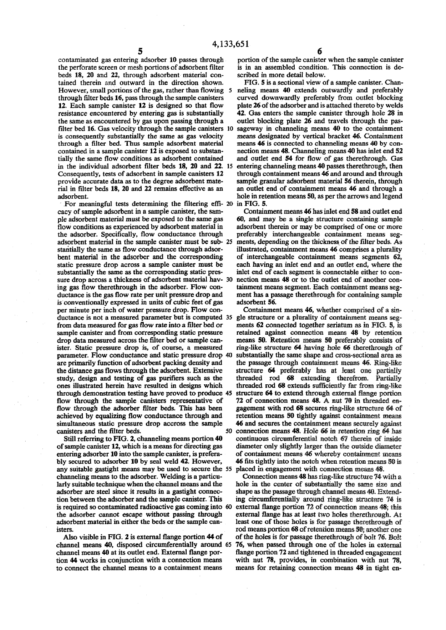**5 6**  contaminated gas entering adsorber 10 passes through portion of the sample canister when the sample canister the perforate screen or mesh portions of adsorbent filter is in an assembled condition. This connection is dethe perforate screen or mesh portions of adsorbent filter is in an assembled condition beds 18, 20 and 22, through adsorbent material con-<br>scribed in more detail below. beds 18, 20 and 22, through adsorbent material con-<br>tained therein and outward in the direction shown. FIG. 5 is a sectional view of a sample canister. Chantained therein and outward in the direction shown. FIG. 5 is a sectional view of a sample canister. Chan-However, small portions of the gas, rather than flowing 5 neling means 40 extends outwardly and preferably However, small portions of the gas, rather than flowing 5 filter bed 16. Gas velocity through the sample canisters 10 is consequently substantially the same as gas velocity through a filter bed. Thus sample adsorbent material contained in a sample canister 12 is exposed to substanprovide accurate data as to the degree adsorbent mate-<br>rial in filter beds 18, 20 and 22 remains effective as an

For meaningful tests determining the filtering effi- 20 cacy of sample adsorbent in a sample canister, the samcacy of sample adsorbent in a sample canister, the sam-<br>
outainment means 46 has inlet end 58 and outlet end<br>
ple adsorbent material must be exposed to the same gas<br>

60, and may be a single structure containing sample ple adsorbent material must be exposed to the same gas 60, and may be a single structure containing sample flow conditions as experienced by adsorbent material in adsorbent therein or may be comprised of one or more the adsorber. Specifically, flow conductance through preferably interchangeable containment means seg-<br>adsorbent material in the sample canister must be sub- 25 ments, depending on the thickness of the filter beds. As adsorbent material in the sample canister must be sub- 25 stantially the same as flow conductance through adsorstantially the same as flow conductance through adsor-<br>bent material in the adsorber and the corresponding of interchangeable containment means segments 62, bent material in the adsorber and the corresponding of interchangeable containment means segments 62, static pressure drop across a sample canister must be each having an inlet end and an outlet end, where the substantially the same as the corresponding static pres-<br>sure drop across a thickness of adsorbent material hav- 30 nection means 48 or to the outlet end of another consure drop across a thickness of adsorbent material hav- 30 nection means 48 or to the outlet end of another con-<br>ing gas flow therethrough in the adsorber. Flow con-<br>tainment means segment. Each containment means seging gas flow therethrough in the adsorber. Flow con-<br>ductance is the gas flow rate per unit pressure drop and is conventionally expressed in units of cubic feet of gas adsorbent 56.<br>
per minute per inch of water pressure drop. Flow con-<br>
Containment means 46, whether comprised of a sinper minute per inch of water pressure drop. Flow con-<br>ductance is not a measured parameter but is computed 35 gle structure or a plurality of containment means segductance is not a measured parameter but is computed 35 from data measured for gas flow rate into a filter bed or sample canister and from corresponding static pressure drop data measured across the filter bed or sample canister. Static pressure drop is, of course, a measured ring-like structure 64 having hole 66 therethrough of parameter. Flow conductance and static pressure drop 40 substantially the same shape and cross-sectional area as parameter. Flow conductance and static pressure drop 40 substantially the same shape and cross-sectional area as are primarily function of adsorbent packing density and the passage through containment means 46. Ring-like are primarily function of adsorbent packing density and the passage through containment means 46. Ring-like the distance gas flows through the adsorbent. Extensive structure 64 preferably has at least one partially the distance gas flows through the adsorbent. Extensive study, design and testing of gas purifiers such as the ones illustrated herein have resulted in designs which threaded rod 68 extends sufficiently far from ring-like through demonstration testing have proved to produce 45 structure 64 to extend through external flange portion through demonstration testing have proved to produce 45 structure 64 to extend through external flange portion<br>flow through the sample canisters representative of 72 of connection means 48. A nut 70 in threaded enflow through the sample canisters representative of flow through the adsorber filter beds. This has been achieved by equalizing flow conductance through and retention means 50 tightly against containment means

Still referring to FIG. 2, channeling means portion 40 of sample canister 12, which is a means for directing gas of sample canister 12, which is a means for directing gas diameter only slightly larger than the outside diameter entering adsorber 10 into the sample canister, is prefera-<br>of containment means 46 whereby containment means bly secured to adsorber 10 by seal weld 42. However, 46 fits tightly into the notch when retention means 50 is any suitable gastight means may be used to secure the 55 placed in engagement with connection means 48. any suitable gastight means may be used to secure the 55 channeling means to the adsorber. Welding is a particu- Connection means 48 has ring-like structure 74 with a larly suitable technique when the channel means and the hole in the center of substantially the same size and adsorber are steel since it results in a gastight connec-<br>shape as the passage through channel means 40. Extendtion between the adsorber and the sample canister. This ing circumferentially around ring-like structure 74 is<br>is required so contaminated radioactive gas coming into 60 external flange portion 72 of connection means 48; t is required so contaminated radioactive gas coming into 60 the adsorber cannot escape without passing through the adsorber cannot escape without passing through external flange has at least two holes therethrough. At adsorbent material in either the beds or the sample can-least one of those holes is for passage therethrough of

channel means 40, disposed circumferentially around 65 channel means 40 at its outlet end. External flange portion 44 works in conjunction with a connection means to connect the channel means to a containment means means for retaining connection means 48 in tight en-

through filter beds 16, pass through the sample canisters curved downwardly preferably from outlet blocking 12.<br>12. Each sample canister 12 is designed so that flow plate 26 of the adsorber and is attached thereto by welds 12. Each sample canister 12 is designed so that flow plate 26 of the adsorber and is attached thereto by welds resistance encountered by entering gas is substantially 42. Gas enters the sample canister through hole 28 in 42. Gas enters the sample canister through hole 28 in outlet blocking plate 26 and travels through the pasthe same as encountered by gas upon passing through a outlet blocking plate 26 and travels through the pas-<br>filter bed 16. Gas velocity through the sample canisters 10 sageway in channeling means 40 to the containment means designated by vertical bracket 46. Containment means 46 is connected to channeling means 40 by concontained in a sample canister 12 is exposed to substan-<br>tially the same flow conditions as adsorbent contained and outlet end 54 for flow of gas therethrough. Gas tially the same flow conditions as adsorbent contained and outlet end 54 for flow of gas therethrough. Gas in the individual adsorbent filter beds 18, 20 and 22. 15 entering channeling means 40 passes therethrough, then entering channeling means 40 passes therethrough, then<br>through containment means 46 and around and through Consequently, tests of adsorbent in sample canisters 12 through containment means 46 and around and through provide accurate data as to the degree adsorbent mate-<br>sample granular adsorbent material 56 therein, through rial in filter beds 18, 20 and 22 remains effective as an an outlet end of containment means 46 and through a adsorbent. hole in retention means 50, as per the arrows and legend<br>in FIG. 5.

> adsorbent therein or may be comprised of one or more<br>preferably interchangeable containment means segeach having an inlet end and an outlet end, where the ment has a passage therethrough for containing sample adsorbent 56.

ments 62 connected together seriatum as in FIG. 5, is retained against connection means 48 by retention means 50. Retention means 50 preferably consists of threaded rod 68 extending therefrom. Partially gagement with rod 68 secures ring-like structure 64 of simultaneous static pressure drop accross the sample 46 and secures the containment means securely against canisters and the filter beds. 50 connection means 48. Hole 66 in retention ring 64 has connection means 48. Hole 66 in retention ring 64 has<br>continuous circumferential notch 67 therein of inside of containment means 46 whereby containment means

shape as the passage through channel means 40. Extendadsorbent material in either the beds or the sample can-<br>isters.<br>Tod means portion 68 of retention means 50: another one it is rod means portion 68 of retention means 50; another one<br>Also visible in FIG. 2 is external flange portion 44 of of the holes is for passage therethrough of bolt 76. Bolt of the holes is for passage therethrough of bolt 76. Bolt 76, when passed through one of the holes in external flange portion 72 and tightened in threaded engagement with nut 78, provides, in combination with nut 78,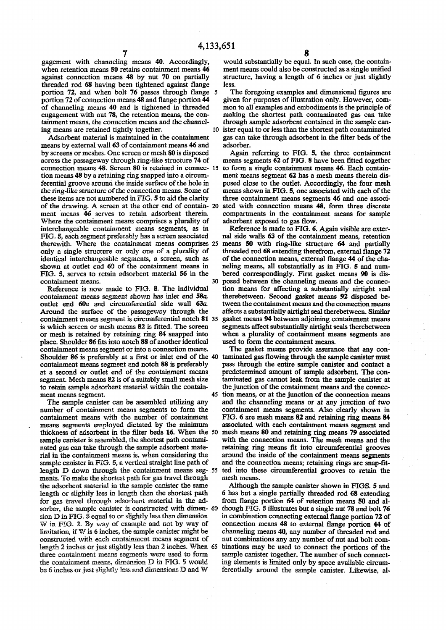gagement with channeling means 40. Accordingly, when retention means 50 retains containment means 46 against connection means 48 by nut 70 on partially threaded rod 68 having been tightened against flange portion 72, and when bolt 76 passes through flange 5 portion 72 of connection means 48 and flange portion 44 of channeling means 40 and is tightened in threaded engagement with nut 78, the retention means, the containment means, the connection means and the channeling means are retained tightly together.

Adsorbent material is maintained in the containment means by external wall 63 of containment means 46 and by screens or meshes. One screen or mesh 80 is disposed across the passageway through ring-like structure 74 of connection means 48. Screen 80 is retained in connec- 15 tion means 48 by a retaining ring snapped into a circumferential groove around the inside surface of the hole in the ring-like structure of the connection means. Some of these items are not numbered in FIG. 5 to aid the clarity of the drawing. A screen at the other end of contain- 20 ment means 46 serves to retain adsorbent therein. Where the containment means comprises a plurality of interchangeable containment means segments, as in FIG. S, each segment preferably has a screen associated therewith. Where the containment means comprises 25 only a single structure or only one of a plurality of identical interchangeable segments, a screen, such as shown at outlet end 60 of the containment means in FIG. 5, serves to retain adsorbent material 56 in the containment means.

Reference is now made to FIG. 8. The individual containment means segment shown has inlet end 58a, outlet end 60a and circumferential side wall 63a. Around the surface of the passageway through the containment means segment is circumferential notch 81 35 is which screen or mesh means 82 is fitted. The screen or mesh is retained by retaining ring 84 snapped into place. Shoulder 86 fits into notch 88 of another identical containment means segment or into a connection means. Shoulder 86 is preferably at a first or inlet end of the 40 containment means segment and notch 88 is preferably at a second or outlet end of the containment means segment. Mesh means 82 is of a suitably small mesh size to retain sample adsorbent material within the containment means segment. 45

The sample canister can be assembled utilizing any number of containment means segments to form the containment means with the number of containment means segments employed dictated by the minimum thickness of adsorbent in the filter beds 16. When the 50 mesh means 80 and retaining ring means 79 associated sample canister is assembled, the shortest path contaminated gas can take through the sample adsorbent material in the containment means is, when considering the sample canister in FIG. 5, a vertical straight line path of length D down through the containment means seg- 55 ments. To make the shortest path for gas travel through the adsorbent material in the sample canister the same length or slightly less in length than the shortest path for gas travel through adsorbent material in the adsorber, the sample canister is constructed with dimen- 60 sion D in FIG. *B* equal to or slightly less than dimension W in FIG. 2. By way of example and not by way of limitation, if W is 6 inches, the sample canister might be constructed with each containment means segment of length 2 inches or just slightly less than 2 inches. When 65 three containment means segments were used to form the containment means, dimension D in FIG. *5* would bs 6 inches or just slightly less and dimensions D and W

<sup>651</sup>**8**  would substantially be equal. In such case, the containment means could also be constructed as a single unified structure, having a length of 6 inches or just slightly less.

The foregoing examples and dimensional figures are given for purposes of illustration only. However, common to all examples and embodiments is the principle of making the shortest path contaminated gas can take through sample adsorbent contained in the sample canister equal to or less than the shortest path contaminated gas can take through adsorbent in the filter beds of the adsorber.

Again referring to FIG. 5, the three containment means segments 62 of FIG. 8 have been fitted together to form a single containment means 46. Each containment means segment 62 has a mesh means therein disposed close to the outlet. Accordingly, the four mesh means shown in FIG. 5, one associated with each of the three containment means segments 46 and one associated with connection means 48, form three discrete compartments in the containment means for sample adsorbent exposed to gas flow.

Reference is made to FIG. 6. Again visible are external side walls 63 of the containment means, retention means 50 with ring-like structure 64 and partially threaded rod 68 extending therefrom, external flange 72 of the connection means, external flange 44 of the chaneling means, all substantially as in FIG. 5 and numbered correspondingly. First gasket means 90 is disposed between the channeling means and the connection means for affecting a substantially airtight seal therebetween. Second gasket means *92* disposed between the containment means and the connection means affects a substantially airtight seal therebetween. Similar gasket means 94 between adjoining containment means segments affect substantially airtight seals therebetween when a plurality of containment means segments are used to form the containment means.

The gasket means provide assurance that any contaminated gas flowing through the sample canister must pass through the entire sample canister and contact a predetermined amount of sample adsorbent. The contaminated gas cannot leak from the sample canister at the junction of the containment means and the connection means, or at the junction of the connection means and the channeling means or at any junction of two containment means segments. Also clearly shown in FIG. 6 are mesh means 82 and retaining ring means 84 associated with each containment means segment and with the connection means. The mesh means and the retaining ring means fit into circumferential grooves around the inside of the containment means segments and the connection means; retaining rings are snap-fitted into these circumferential grooves to retain the mesh means.

Although the sample canister shown in FIGS. 5 and 6 has but a single partially threaded rod 68 extending from flange portion 64 of retention means 50 and although FIG. 5 illustrates but a single nut 78 and bolt 76 in combination connecting external flange portion 72 of connection means 48 to external flange portion 44 of channeling means 40, any number of threaded rod and nut combinations any any number of nut and bolt combinations may be used to connect the portions of the sample canister together. The number of such connecting elements is limited only by space available circumferentially around the sample canister. Likewise, al-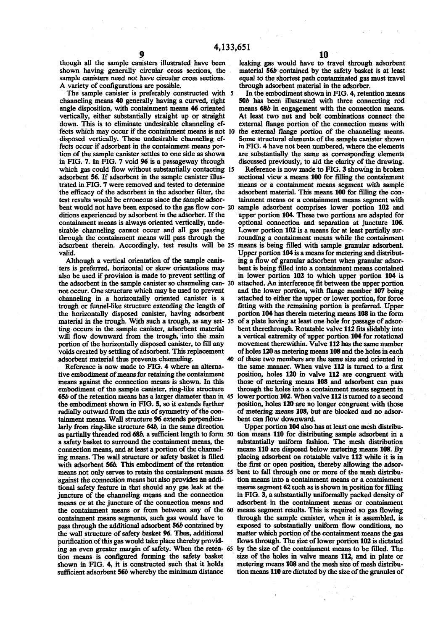shown having generally circular cross sections, the material 56b contained by the safety basket is at least sample canisters need not have circular cross sections. equal to the shortest path contaminated gas must travel sample canisters need not have circular cross sections. equal to the shortest path contaminated gas must travel<br>A variety of configurations are possible. through adsorbent material in the adsorber.

The sample canister is preferably constructed with 5 In the embodiment shown in FIG. 4, retention means channeling means 40 generally having a curved, right 506 has been illustrated with three connecting rod angle disposition, with containment means 46 oriented means 686 in engagement with the connection means, vertically, either substantially straight up or straight At least two nut and bolt combinations connect the down. This is to eliminate undesirable channeling ef-<br>external flange portion of the connection means with fects which may occur if the containment means is not 10 the external flange portion of the channeling means.<br>disposed vertically. These undesirable channeling ef-<br>Some structural elements of the sample canister shown disposed vertically. These undesirable channeling effects occur if adsorbent in the containment means por- in FIG. 4 have not been numbered, where the elements tion of the sample canister settles to one side as shown are substantially the same as corresponding elements<br>in FIG. 7. In FIG. 7 void 96 is a passageway through discussed previously, to aid the clarity of the drawing. trated in FIG. 7 were removed and tested to determine means or a containment means segment with sample test results would be erroneous since the sample adsor- tainment means or a containment means segment with bent would not have been exposed to the gas flow con- 20 sample adsorbent comprises lower portion 102 and ditions experienced by adsorbent in the adsorber. If the upper portion 104. These two portions are adapted for containment means is always oriented vertically, unde- optional connection and separation at juncture 106. sirable channeling cannot occur and all gas passing Lower portion 102 is a means for at least partially suradsorbent therein. Accordingly, test results will be 25 means is being filled with sample granular adsorbent, valid. **Upper portion 104 is a means for metering and distribut-**

means against the connection means is shown. In this those of metering means 108 and adsorbent can pass the embodiment shown in FIG. 5, so it extends further position, holes 120 are no longer congruent with those radially outward from the axis of symmetry of the con- of metering means 108, but are blocked and no adsortainment means. Wall structure 96 extends perpendicu- bent can flow downward. larly from ring-like structure 64b, in the same direction Upper portion 104 also has at least one mesh distribua safety basket to surround the containment means, the connection means, and at least a portion of the channelwith adsorbent 56*b*. This embodiment of the retention against the connection means but also provides an additional safety feature in that should any gas leak at the means or at the juncture of the connection means and pass through the additional adsorbent 56b contained by sufficient adsorbent 56b whereby the minimum distance

though all the sample canisters illustrated have been leaking gas would have to travel through adsorbent through adsorbent material in the adsorber.

> external flange portion of the connection means with discussed previously, to aid the clarity of the drawing.

which gas could flow without substantially contacting 15 Reference is now made to FIG. 3 showing in broken adsorbent 56. If adsorbent in the sample canister illus- sectional view a means 100 for filling the containment the efficacy of the adsorbent in the adsorber filter, the adsorbent material. This means 100 for filling the conthrough the containment means will pass through the rounding a containment means while the containment Although a vertical orientation of the sample canis- ing a flow of granular adsorbent when granular adsorters is preferred, horizontal or skew orientations may bent is being filled into a containment means contained also be used if provision is made to prevent settling of in lower portion 102 to which upper portion 104 is the adsorbent in the sample canister so channeling can- 30 attached. An interference fit between the upper portion not occur. One structure which may be used to prevent and the lower portion, with flange member 107 being channeling in a horizontally oriented canister is a attached to either the upper or lower portion, for force trough or funnel-like structure extending the length of fitting with the remaining portion is preferred. Upper the horizontally disposed canister, having adsorbent portion 104 has therein metering means 108 in the form material in the trough. With such a trough, as any set- 35 of a plate having at least one hole for passage of adsorting occurs in the sample canister, adsorbent material bent therethrough. Rotatable valve 112 fits slidably into will flow downward from the trough, into the main a vertical extremity of upper portion 104 for rotational portion of the horizontally disposed canister, to fill any movement therewithin. Valve 112 has the same number voids created by settling of adsorbent. This replacement of holes 120 as metering means 108 and the holes in each adsorbent material thus prevents channeling. *40 of* these two members are the same size and oriented in Reference is now made to FIG. 4 where an alterna-<br>the same manner. When valve 112 is turned to a first tive embodiment of means for retaining the containment position, holes 120 in valve 112 are congruent with embodiment of the sample canister, ring-like structure through the holes into a containment means segment in 65b of the retention means has a larger diameter than in 45 lower portion 102. When valve 112 is turned to a second

as partially threaded rod 68*b*, a sufficient length to form 50 tion means 110 for distributing sample adsorbent in a a safety basket to surround the containment means, the substantially uniform fashion. The mesh distribut means 110 are disposed below metering means 108. By ing means. The wall structure or safety basket is filled placing adsorbent on rotatable valve 112 while it is in<br>with adsorbent 56*b*. This embodiment of the retention the first or open position, thereby allowing the adsor means not only serves to retain the containment means 55 bent to fall through one or more of the mesh distribu-<br>against the connection means but also provides an addi-<br>tion means into a containment means or a containment means segment 62 such as is shown in position for filling<br>in FIG. 3, a substantially uniformally packed density of juncture of the channeling means and the connection in FIG. 3, a substantially uniformally packed density of means or at the juncture of the connection means and adsorbent in the containment means or containment the containment means or from between any of the 60 means segment results. This is required so gas flowing containment means segments, such gas would have to through the sample canister, when it is assembled, is pass through the additional adsorbent 56b contained by exposed to substantially uniform flow conditions, no the wall structure of safety basket 96. Thus, additional matter which portion of the containment means the gas purification of this gas would take place thereby provid- flows through. The size of lower portion 102 is dictated ing an even greater margin of safety. When die reten- 65 by the size of the containment means to be filled. The tion means is configured forming the safety basket size of the holes in valve means 112, and in plate or shown in FIG. 4, it is constructed such that it holds metering means 108 and the mesh size of mesh distribushown in FIG. 4, it is constructed such that it holds metering means 108 and the mesh size of mesh distribu-<br>sufficient adsorbent 56b whereby the minimum distance tion means 110 are dictated by the size of the granules of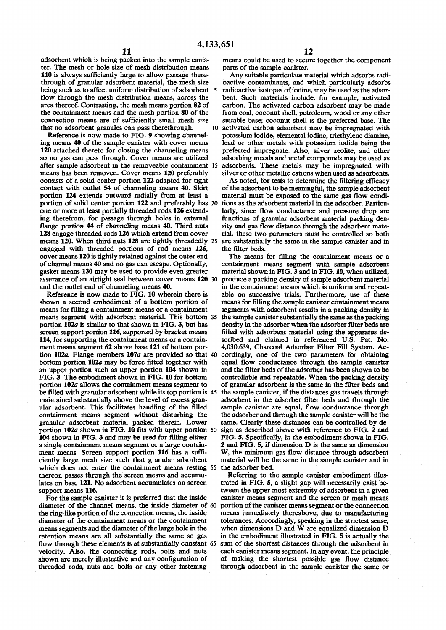adsorbent which is being packed into the sample canis-<br>ter. The mesh or hole size of mesh distribution means<br>parts of the sample canister. ter. The mesh or hole size of mesh distribution means parts of the sample canister.<br>110 is always sufficiently large to allow passage there-<br>Any suitable particulate material which adsorbs radi-110 is always sufficiently large to allow passage there-<br>through of granular adsorbent material, the mesh size being such as to affect uniform distribution of adsorbent flow through the mesh distribution means, across the area thereof. Contrasting, the mesh means portion 82 of the containment means and the mesh portion 80 of the the containment means and the mesh portion 80 of the from coal, coconut shell, petroleum, wood or any other connection means are of sufficiently small mesh size suitable base; coconut shell is the preferred base. The connection means are of sufficiently small mesh size suitable base; coconut shell is the preferred base. The that no adsorbent granules can pass therethrough. 10 activated carbon adsorbent may be impregnated with

Reference is now made to FIG. 9 showing channel-<br>ing means 40 of the sample canister with cover means<br>lead or other metals with potassium iodide being the ing means 40 of the sample canister with cover means lead or other metals with potassium iodide being the 120 attached thereto for closing the channeling means preferred impregnate. Also, silver zeolite, and other 120 attached thereto for closing the channeling means preferred impregnate. Also, silver zeolite, and other so no gas can pass through. Cover means are utilized adsorbing metals and metal compounds may be used as after sample adsorbent in the removeable containment 15 means has been removed. Cover means 120 preferably consists of a solid center portion 122 adapted for tight contact with outlet 54 of channeling means 40. Skirt contact with outlet 54 of channeling means 40. Skirt of the adsorbent to be meaningful, the sample adsorbent portion 124 extends outward radially from at least a material must be exposed to the same gas flow condiportion of solid center portion 122 and preferably has 20 tions as the adsorbent material in the adsorber. Particu-<br>one or more at least partially threaded rods 126 extend-<br>larly, since flow conductance and pressure drop a ing therefrom, for passage through holes in external flange portion 44 of channeling means 40. Third nuts flange portion 44 of channeling means 40. Third nuts sity and gas flow distance through the adsorbent mate-<br>128 engage threaded rods 126 which extend from cover rial, these two parameters must be controlled so both means 120. When third nuts 128 are tightly threadedly 25 are substantially engaged with threaded portions of rod means 126. the filter beds. engaged with threaded portions of rod means 126, cover means 120 is tightly retained against the outer end of channel means 40 and no gas can escape. Optionally, containment means segment with sample adsorbent gasket means 130 may be used to provide even greater material shown in FIG. 3 and in FIG. 10, when utilized, assurance of an airtight seal between cover means 120 30

shown a second embodiment of a bottom portion of means for filling the sample canister containment means means for filling a containment means or a containment segments with adsorbent results in a packing density in means segment with adsorbent material. This bottom 35 portion 102*a* is similar to that shown in FIG. 3, but has screen support portion 116, supported by bracket means 114, for supporting the containment means or a containment means segment 62 above base 121 of bottom portion 102a. Flange members 107a are provided so that 40 cordingly, one of the two parameters for obtaining bottom portion 102a may be force fitted together with equal flow conductance through the sample canister bottom portion  $102a$  may be force fitted together with an upper portion such as upper portion  $104$  shown in an upper portion such as upper portion 104 shown in and the filter beds of the adsorber has been shown to be FIG. 3. The embodiment shown in FIG. 10 for bottom controllable and repeatable. When the packing density portion 102a allows the containment means segment to be filled with granular adsorbent while its top portion is 45 be filled with granular adsorbent while its top portion is 45 the sample canister, if the distances gas travels through maintained substantially above the level of excess gran-<br>adsorbent in the adsorber filter beds and thr maintained substantially above the level of excess gran-<br>adsorbent in the adsorber filter beds and through the<br>sample cannot cannot response through the values of the filled<br>sample cannot are equal, flow conductance throug containment means segment without disturbing the the adsorber and through the sample canister will be the granular adsorbent material packed therein. Lower same. Clearly these distances can be controlled by degranular adsorbent material packed therein. Lower same. Clearly these distances can be controlled by deportion 102a shown in FIG. 10 fits with upper portion 50 sign as described above with reference to FIG. 2 and portion  $102a$  shown in FIG.  $10$  fits with upper portion 50  $104$  shown in FIG. 3 and may be used for filling either a single containment means segment or a large contain-<br>ment means. Screen support portion 116 has a suffi-<br>W, the minimum gas flow distance through adsorbent ment means. Screen support portion 116 has a suffi-<br>ciently large mesh size such that granular adsorbent which does not enter the containment means resting 55 the adsorber bed.<br>thereon passes through the screen means and accumu-<br>Referring to the sample canister embodiment illusthereon passes through the screen means and accumu-<br>
lates on base 121. No adsorbent accumulates on screen trated in FIG. 5, a slight gap will necessarily exist belates on base 121. No adsorbent accumulates on screen support means 116.

diameter of the channel means, the inside diameter of 60 portion of the canister means segment or the connection the ring-like portion of the connection means, the inside means immediately thereabove, due to manufacturing diameter of the containment means or the containment means segments and the diameter of the large hole in the means segments and the diameter of the large hole in the when dimensions D and W are equalized dimension D retention means are all substantially the same so gas in the embodiment illustrated in FIG. 5 is actually the flow through these elements is at substantially constant 65 sum of the shortest distances through the adsorbent in velocity. Also, the connecting rods, bolts and nuts each canister means segment. In any event, the principl velocity. Also, the connecting rods, bolts and nuts shown are merely illustrative and any configuration of threaded rods, nuts and bolts or any other fastening through adsorbent in the sample canister the same or

bactive contaminants, and which particularly adsorbs radioactive isotopes of iodine, may be used as the adsorbent. Such materials include, for example, activated carbon. The activated carbon adsorbent may be made hat no adsorbent granules can pass therethrough. 10 activated carbon adsorbent may be impregnated with Reference is now made to FIG. 9 showing channel-<br>potassium iodide, elemental iodine, triethylene diamine, adsorbing metals and metal compounds may be used as adsorbents. These metals may be impregnated with silver or other metallic cations when used as adsorbents.<br>As noted, for tests to determine the filtering efficacy

material must be exposed to the same gas flow condilarly, since flow conductance and pressure drop are functions of granular adsorbent material packing denrial, these two parameters must be controlled so both are substantially the same in the sample canister and in

The means for filling the containment means or a material shown in FIG. 3 and in FIG. 10, when utilized, produce a packing density of sample adsorbent material and the outlet end of channeling means 40. in the containment means which is uniform and repeat-<br>Reference is now made to FIG. 10 wherein there is able on successive trials. Furthermore, use of these able on successive trials. Furthermore, use of these segments with adsorbent results in a packing density in the sample canister substantially the same as the packing density in the adsorber when the adsorber filter beds are filled with adsorbent material using the apparatus described and claimed in referenced U.S. Pat. No.<br>4,030,639, Charcoal Adsorber Filter Fill System. Accontrollable and repeatable. When the packing density of granular adsorbent is the same in the filter beds and sample canister are equal, flow conductance through<br>the adsorber and through the sample canister will be the FIG. 5. Specifically, in the embodiment shown in FIG. 2 and FIG. 5, if dimension D is the same as dimension material will be the same in the sample canister and in

support means 116.<br>For the sample canister it is preferred that the inside canister means segment and the screen or mesh means For the sample canister it is preferred that the inside canister means segment and the screen or mesh means diameter of the channel means, the inside diameter of 60 portion of the canister means segment or the connection means immediately thereabove, due to manufacturing tolerances. Accordingly, speaking in the strictest sense, in the embodiment illustrated in FIG. 5 is actually the of making the shortest possible gas flow distance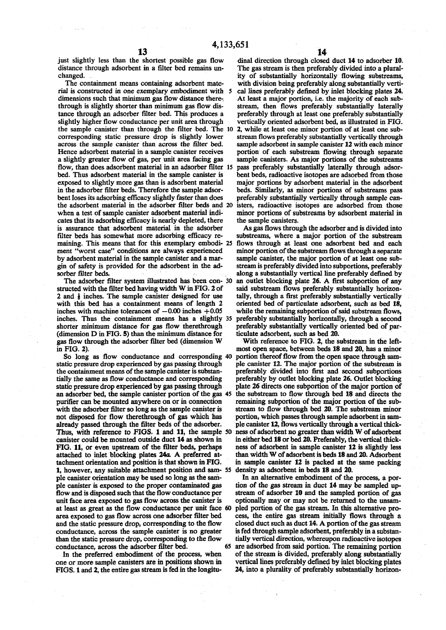just slightly less than the shortest possible gas flow distance through adsorbent in a filter bed remains unchanged.

The containment means containing adsorbent material is constructed in one exemplary embodiment with 5 dimensions such that minimum gas flow distance therethrough is slightly shorter than minimum gas flow distance through an adsorber filter bed. This produces a slightly higher flow conductance per unit area through the sample canister than through the filter bed. The 10 corresponding static pressure drop is slightly lower across the sample canister than across the filter bed. Hence adsorbent material in a sample canister receives a slightly greater flow of gas, per unit area facing gas flow, than does adsorbent material in an adsorber filter 15 bed. Thus adsorbent material in the sample canister is exposed to slightly more gas than is adsorbent material in the adsorber filter beds. Therefore the sample adsorbent loses its adsorbing efficacy slightly faster than does the adsorbent material in the adsorber filter beds and 20 when a test of sample canister adsorbent material indicates that its adsorbing efficacy is nearly depleted, there is assurance that adsorbent material in the adsorber filter beds has somewhat more adsorbing efficacy remaining. This means that for this exemplary embodi- 25 ment "worst case" conditions are always experienced by adsorbent material in the sample canister and a margin of safety is provided for the adsorbent in the adsorber filter beds.

The adsorber filter system illustrated has been con- 30 structed with the filter bed having width W in FIG. 2 of 2 and  $\frac{1}{2}$  inches. The sample canister designed for use with this bed has a containment means of length 2 inches with machine tolerances of  $-0.00$  inches  $+0.05$ inches. Thus the containment means has a slightly 35 shorter minimum distance for gas flow therethrough (dimension D in FIG. 5) than the minimum distance for gas flow through the adsorber filter bed (dimension W in FIG. 2).

So long as flow conductance and corresponding 40 static pressure drop experienced by gas passing through the containment means of the sample canister is substantially the same as flow conductance and corresponding static pressure drop experienced by gas passing through an adsorber bed, the sample canister portion of the gas 45 purifier can be mounted anywhere on or in connection with the adsorber filter so long as the sample canister is not disposed for flow therethrough of gas which has already passed through the filter beds of the adsorber. Thus, with reference to FIGS. 1 and *11,* the sample 50 canister could be mounted outside duct 14 as shown in FIG. 11, or even upstream of the filter beds, perhaps attached to inlet blocking plates 24a. A preferred attachment orientation and position is that shown in FIG. 1, however, any suitable attachment position and sam- 55 density as adsorbent in beds 18 and 20. pie canister orientation may be used so long as the sample canister is exposed to the proper contaminated gas flow and is disposed such that the flow conductance per unit face area exposed to gas flow across the canister is at least as great as the flow conductance per unit face 60 area exposed to gas flow across one adsorber filter bed and the static pressure drop, corresponding to the flow conductance, across the sample canister is no greater than the static pressure drop, corresponding to the flow conductance, across the adsorber filter bed. 65

In the preferred embodiment of the process, when one or more sample canisters are in positions shown in FIGS. 1 and 2, the entire gas stream is fed in the longitu-

dinal direction through closed duct 14 to adsorber 10. The gas stream is then preferably divided into a plurality of substantially horizontally flowing substreams, with division being preferably along substantially vertical lines preferably defined by inlet blocking plates 24. At least a major portion, i.e. the majority of each substream, then flows preferably substantially laterally preferably through at least one preferably substantially vertically oriented adsorbent bed, as illustrated in FIG. 2, while at least one minor portion of at least one substream flows preferably substantially vertically through sample adsorbent in sample canister 12 with each minor portion of each substream flowing through separate sample canisters. As major portions of the substreams pass preferably substantially laterally through adsorbent beds, radioactive isotopes are adsorbed from those major portions by adsorbent material in the adsorbent beds. Similarly, as minor portions of substreams pass preferably substantially vertically through sample canisters, radioactive isotopes are adsorbed from those minor portions of substreams by adsorbent material in the sample canisters.

As gas flows through the adsorber and is divided into substreams, where a major portion of the substream flows through at least one adsorbent bed and each minor portion of the substream flows through a separate sample canister, the major portion of at least one substream is preferably divided into subportions, preferably along a substantially vertical line preferably defined by an outlet blocking plate 26. A first subportion of any said substream flows preferably substantially horizontally, through a first preferably substantially vertically oriented bed of particulate adsorbent, such as bed 18, while the remaining subportion of said substream flows, preferably substantially horizontally, through a second preferably substantially vertically oriented bed of particulate adsorbent, such as bed 20.

With reference to FIG. 2, the substream in the leftmost open space, between beds 18 and 20, has a minor portion thereof flow from the open space through sample canister 12. The major portion of the substream is preferably divided into first and second subportions preferably by outlet blocking plate 26. Outlet blocking plate 26 directs one subportion of the major portion of the substream to flow through bed 18 and directs the remaining subportion of the major portion of the substream to flow through bed 20. The substream minor portion, which passes through sample adsorbent in sample canister 12, flows vertically through a vertical thickness of adsorbent no greater than width W of adsorbent in either bed 18 or bed 20. Preferably, the vertical thickness of adsorbent in sample canister 12 is slightly less than width W of adsorbent is beds 18 and 20. Adsorbent in sample canister 12 is packed at the same packing

In an alternative embodiment of the process, a portion of the gas stream in duct 14 may be sampled upstream of adsorber 10 and the sampled portion of gas optionally may or may not be returned to the unsampled portion of the gas stream. In this alternative process, the entire gas stream initially flows through a closed duct such as duct 14. A portion of the gas stream is fed through sample adsorbent, preferably in a substantially vertical direction, whereupon radioactive isotopes are adsorbed from said portion. The remaining portion of the stream is divided, preferably along substantially vertical lines preferably defined by inlet blocking plates 24, into a plurality of preferably substantially horizon-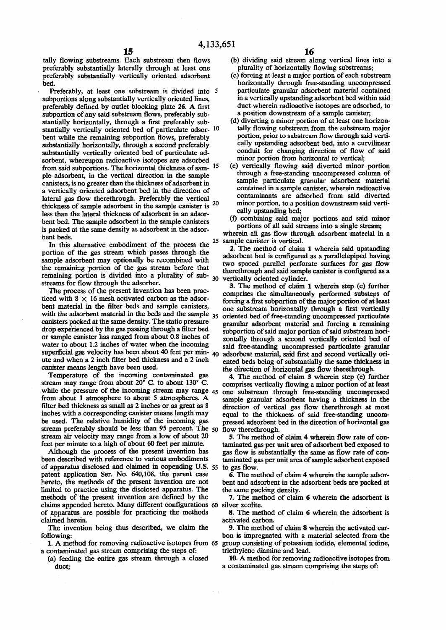tally flowing substreams. Each substream then flows preferably substantially laterally through at least one preferably substantially vertically oriented adsorbent bed.

Preferably, at least one substream is divided into 5 subportions along substantially vertically oriented lines, preferably defined by outlet blocking plate 26. A first subportion of any said substream flows, preferably substantially horizontally, through a first preferably substantially vertically oriented bed of particulate adsor- 10 bent while the remaining subportion flows, preferably substantially horizontally, through a second preferably substantially vertically oriented bed of particulate adsorbent, whereupon radioactive isotopes are adsorbed from said subportions. The horizontal thickness of sam- <sup>15</sup> pie adsorbent, in the vertical direction in the sample canisters, is no greater than the thickness of adsorbent in a vertically oriented adsorbent bed in the direction of lateral gas flow therethrough. Preferably the vertical thickness of sample adsorbent in the sample canister is  $^{20}$ less than the lateral thickness of adsorbent in an adsorbent bed. The sample adsorbent in the sample canisters is packed at the same density as adsorbent in the adsorbent beds.

In this alternative embodiment of the process the portion of the gas stream which passes through the sample adsorbent may optionally be recombined with the remaining portion of the gas stream before that remaining portion is divided into a plurality of substreams for flow through the adsorber.

The process of the present invention has been practiced with  $8 \times 16$  mesh activated carbon as the adsorbent material in the filter beds and sample canisters, with the adsorbent material in the beds and the sample  $35$ canisters packed at the same density. The static pressure drop experienced by the gas passing through a filter bed or sample canister has ranged from about 0.8 inches of water to about 1.2 inches of water when the incoming superficial gas velocity has been about 40 feet per min- 40 adsorbent material, said first and second vertically oriute and when a 2 inch filter bed thickness and a 2 inch canister means length have been used.

Temperature of the incoming contaminated gas stream may range from about 20° C. to about 130° C. while the pressure of the incoming stream may range  $45$ from about 1 atmosphere to about 5 atmospheres. A filter bed thickness as small as 2 inches or as great as 8 inches with a corresponding canister means length may be used. The relative humidity of the incoming gas stream preferably should be less than 95 percent. The 50 stream air velocity may range from a low of about 20 feet per minute to a high of about 60 feet per minute.

Although the process of the present invention has been described with reference to various embodiments of apparatus disclosed and claimed in copending U.S. 55 to gas flow. patent application Ser. No. 640,108, the parent case hereto, the methods of the present invention are not limited to practice using the disclosed apparatus. The methods of the present invention are defined by the claims appended hereto. Many different configurations 60 silver zeolite. of apparatus are possible for practicing the methods claimed herein.

The invention being thus described, we claim the following:

1. A method for removing radioactive isotopes from 65 a contaminated gas stream comprising the steps of:

(a) feeding the entire gas stream through a closed duct;

- (b) dividing said stream along vertical lines into a plurality of horizontally flowing substreams;
- (c) forcing at least a major portion of each substream horizontally through free-standing uncompressed particulate granular adsorbent material contained in a vertically upstanding adsorbent bed within said duct wherein radioactive isotopes are adsorbed, to a position downstream of a sample canister;
- (d) diverting a minor portion of at least one horizontally flowing substream from the substream major portion, prior to substream flow through said vertically upstanding adsorbent bed, into a curvilinear conduit for changing direction of flow of said minor portion from horizontal to vertical;
- (e) vertically flowing said diverted minor portion through a free-standing uncompressed column of sample particulate granular adsorbent material contained in a sample canister, wherein radioactive contaminants are adsorbed from said diverted minor portion, to a position downstream said vertically upstanding bed;
- (f) combining said major portions and said minor portions of all said streams into a single stream;

wherein all gas flow through adsorbent material in a 25 sample canister is vertical.

2. The method of claim 1 wherein said upstanding adsorbent bed is configured as a parallelepiped having two spaced parallel perforate surfaces for gas flow therethrough and said sample canister is configured as a 30 vertically oriented cylinder.

3. The method of claim 1 wherein step (c) further comprises the simultaneously performed substeps of forcing a first subportion of the major portion of at least one substream horizontally through a first vertically oriented bed of free-standing uncompressed particulate granular adsorbent material and forcing a remaining subportion of said major portion of said substream horizontally through a second vertically oriented bed of said free-standing uncompressed particulate granular ented beds being of substantially the same thickness in the direction of horizontal gas flow therethrough.

4. The method of claim 3 wherein step (e) further comprises vertically flowing a minor portion of at least one substream through free-standing uncompressed sample granular adsorbent having a thickness in the direction of vertical gas flow therethrough at most equal to the thickness of said free-standing uncompressed adsorbent bed in the direction of horizontal gas flow therethrough.

5. The method of claim 4 wherein flow rate of contaminated gas per unit area of adsorbent bed exposed to gas flow is substantially the same as flow rate of contaminated gas per unit area of sample adsorbent exposed

6. The method of claim 4 wherein the sample adsorbent and adsorbent in the adsorbent beds are packed at the same packing density.

7. The method of claim 6 wherein the adsorbent is

8. The method of claim 6 wherein the adsorbent is activated carbon.

9. The method of claim 8 wherein the activated carbon is impregnated with a material selected from the group consisting of potassium iodide, elemental iodine, triethylene diamine and lead.

10. A method for removing radioactive isotopes from a contaminated gas stream comprising the steps of: